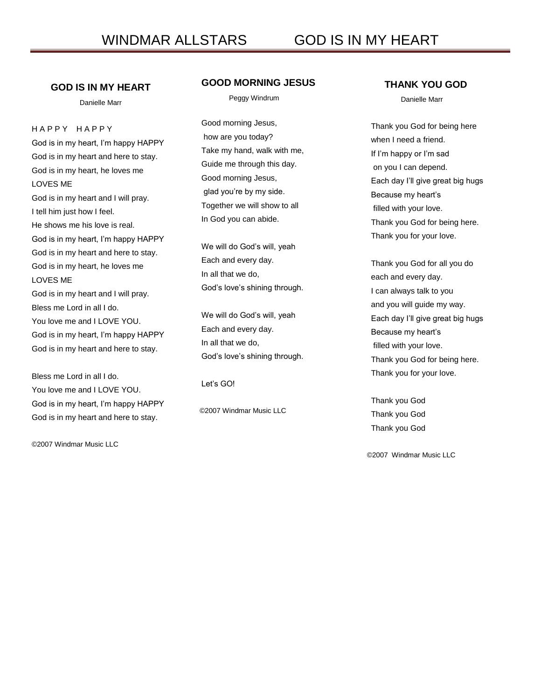## **GOD IS IN MY HEART**

Danielle Marr

H A P P Y H A P P Y God is in my heart, I'm happy HAPPY God is in my heart and here to stay. God is in my heart, he loves me LOVES ME God is in my heart and I will pray. I tell him just how I feel. He shows me his love is real. God is in my heart, I'm happy HAPPY God is in my heart and here to stay. God is in my heart, he loves me LOVES ME God is in my heart and I will pray. Bless me Lord in all I do. You love me and I LOVE YOU. God is in my heart, I'm happy HAPPY

Bless me Lord in all I do. You love me and I LOVE YOU. God is in my heart, I'm happy HAPPY

God is in my heart and here to stay.

God is in my heart and here to stay.

©2007 Windmar Music LLC

## **GOOD MORNING JESUS**

Peggy Windrum

Good morning Jesus, how are you today? Take my hand, walk with me, Guide me through this day. Good morning Jesus, glad you're by my side. Together we will show to all In God you can abide.

We will do God's will, yeah Each and every day. In all that we do, God's love's shining through.

We will do God's will, yeah Each and every day. In all that we do, God's love's shining through.

Let's GO!

©2007 Windmar Music LLC

#### **THANK YOU GOD**

Danielle Marr

Thank you God for being here when I need a friend. If I'm happy or I'm sad on you I can depend. Each day I'll give great big hugs Because my heart's filled with your love. Thank you God for being here. Thank you for your love.

Thank you God for all you do each and every day. I can always talk to you and you will guide my way. Each day I'll give great big hugs Because my heart's filled with your love. Thank you God for being here. Thank you for your love.

Thank you God Thank you God Thank you God

©2007 Windmar Music LLC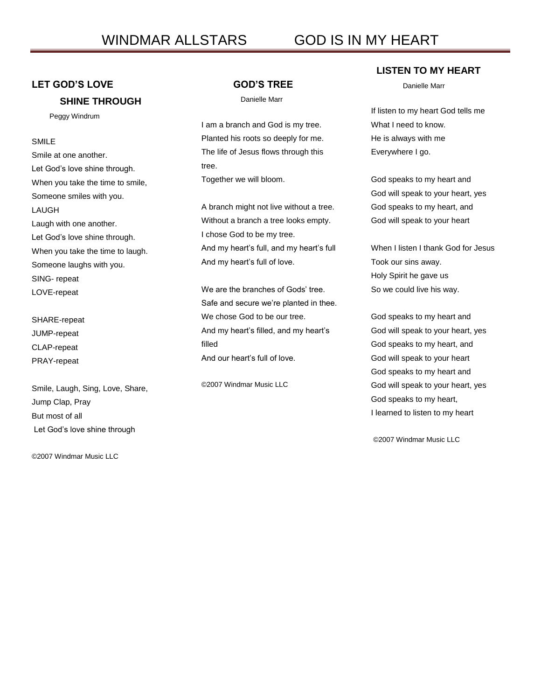# **LET GOD'S LOVE**

## **SHINE THROUGH**

Peggy Windrum

## SMILE

Smile at one another. Let God's love shine through. When you take the time to smile, Someone smiles with you. LAUGH Laugh with one another. Let God's love shine through. When you take the time to laugh. Someone laughs with you. SING- repeat LOVE-repeat

SHARE-repeat JUMP-repeat CLAP-repeat PRAY-repeat

Smile, Laugh, Sing, Love, Share, Jump Clap, Pray But most of all Let God's love shine through

©2007 Windmar Music LLC

#### **GOD'S TREE**

Danielle Marr

I am a branch and God is my tree. Planted his roots so deeply for me. The life of Jesus flows through this tree.

Together we will bloom.

A branch might not live without a tree. Without a branch a tree looks empty. I chose God to be my tree. And my heart's full, and my heart's full And my heart's full of love.

We are the branches of Gods' tree. Safe and secure we're planted in thee. We chose God to be our tree. And my heart's filled, and my heart's filled And our heart's full of love.

©2007 Windmar Music LLC

#### **LISTEN TO MY HEART**

Danielle Marr

If listen to my heart God tells me What I need to know. He is always with me Everywhere I go.

God speaks to my heart and God will speak to your heart, yes God speaks to my heart, and God will speak to your heart

When I listen I thank God for Jesus Took our sins away. Holy Spirit he gave us So we could live his way.

God speaks to my heart and God will speak to your heart, yes God speaks to my heart, and God will speak to your heart God speaks to my heart and God will speak to your heart, yes God speaks to my heart, I learned to listen to my heart

©2007 Windmar Music LLC